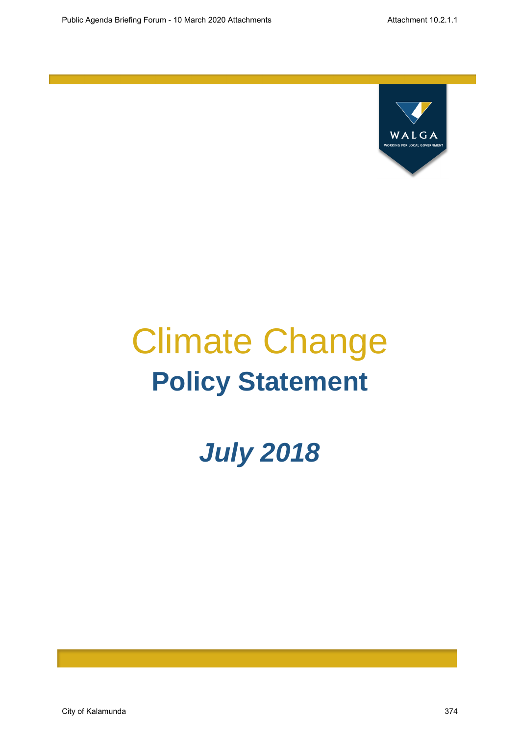

# Climate Change **Policy Statement**

## *July 2018*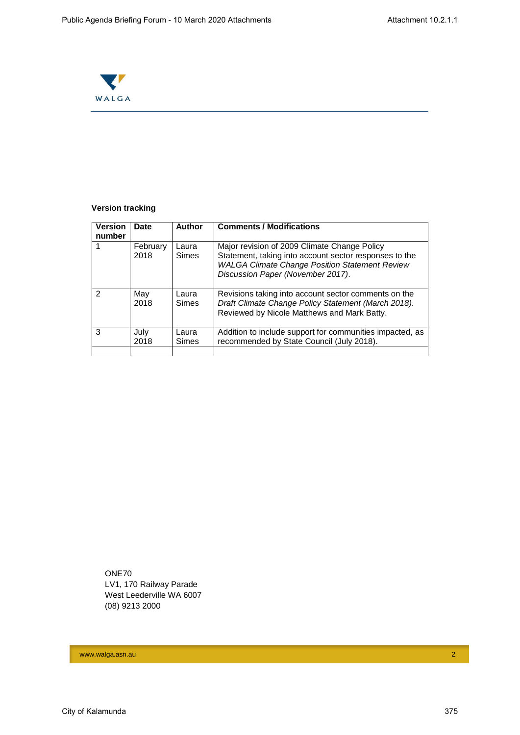

#### **Version tracking**

| <b>Version</b><br>number | Date             | <b>Author</b>         | <b>Comments / Modifications</b>                                                                                                                                                                      |
|--------------------------|------------------|-----------------------|------------------------------------------------------------------------------------------------------------------------------------------------------------------------------------------------------|
|                          | February<br>2018 | Laura<br><b>Simes</b> | Major revision of 2009 Climate Change Policy<br>Statement, taking into account sector responses to the<br><b>WALGA Climate Change Position Statement Review</b><br>Discussion Paper (November 2017). |
| $\mathcal{P}$            | May<br>2018      | Laura<br><b>Simes</b> | Revisions taking into account sector comments on the<br>Draft Climate Change Policy Statement (March 2018).<br>Reviewed by Nicole Matthews and Mark Batty.                                           |
| 3                        | July<br>2018     | Laura<br><b>Simes</b> | Addition to include support for communities impacted, as<br>recommended by State Council (July 2018).                                                                                                |
|                          |                  |                       |                                                                                                                                                                                                      |

ONE70 LV1, 170 Railway Parade West Leederville WA 6007 (08) 9213 2000

www.walga.asn.au 2014 - 2022 - 2022 - 2022 - 2022 - 2022 - 2022 - 2022 - 2022 - 2023 - 2024 - 2024 - 2024 - 20<br>2022 - 2022 - 2022 - 2022 - 2022 - 2022 - 2022 - 2022 - 2022 - 2022 - 2022 - 2022 - 2022 - 2022 - 2022 - 2022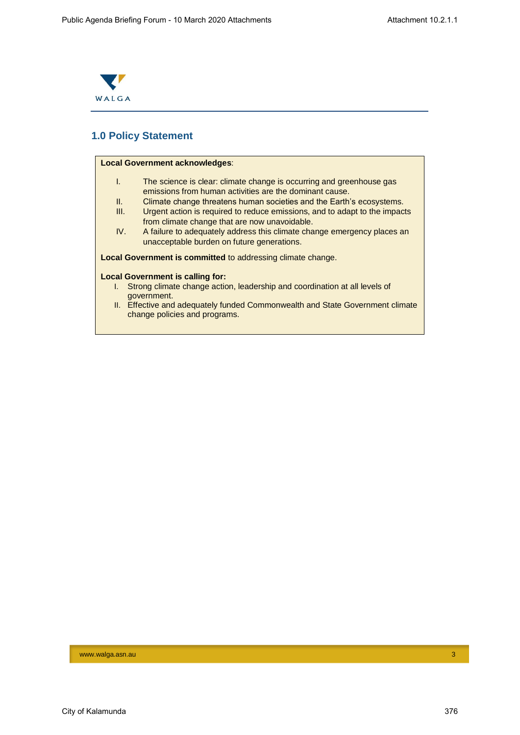

## **1.0 Policy Statement**

| <b>Local Government acknowledges:</b>                                                                          |                                                                                                                                 |  |  |  |  |
|----------------------------------------------------------------------------------------------------------------|---------------------------------------------------------------------------------------------------------------------------------|--|--|--|--|
| I.                                                                                                             | The science is clear: climate change is occurring and greenhouse gas<br>emissions from human activities are the dominant cause. |  |  |  |  |
| Ш.                                                                                                             | Climate change threatens human societies and the Earth's ecosystems.                                                            |  |  |  |  |
| III.                                                                                                           | Urgent action is required to reduce emissions, and to adapt to the impacts<br>from climate change that are now unavoidable.     |  |  |  |  |
| IV.                                                                                                            | A failure to adequately address this climate change emergency places an<br>unacceptable burden on future generations.           |  |  |  |  |
| <b>Local Government is committed to addressing climate change.</b>                                             |                                                                                                                                 |  |  |  |  |
| <b>Local Government is calling for:</b>                                                                        |                                                                                                                                 |  |  |  |  |
| Strong climate change action, leadership and coordination at all levels of<br>I.<br>government.                |                                                                                                                                 |  |  |  |  |
| II. Effective and adequately funded Commonwealth and State Government climate<br>change policies and programs. |                                                                                                                                 |  |  |  |  |

#### www.walga.asn.au 3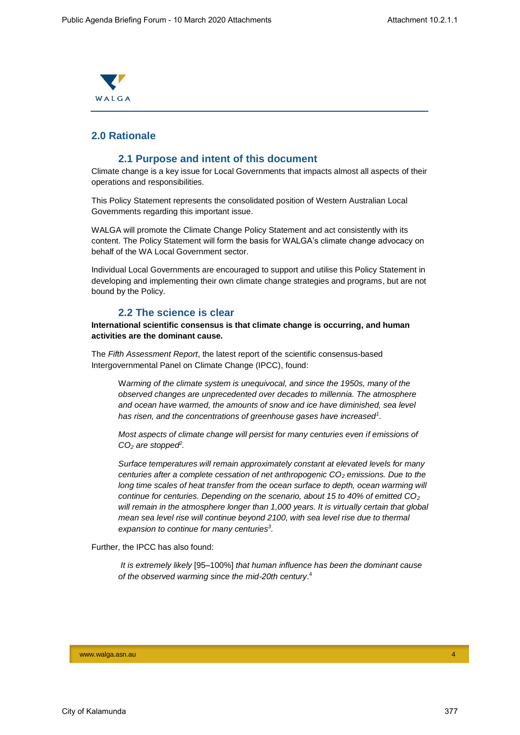

#### **2.0 Rationale**

#### **2.1 Purpose and intent of this document**

Climate change is a key issue for Local Governments that impacts almost all aspects of their operations and responsibilities.

This Policy Statement represents the consolidated position of Western Australian Local Governments regarding this important issue.

WALGA will promote the Climate Change Policy Statement and act consistently with its content. The Policy Statement will form the basis for WALGA's climate change advocacy on behalf of the WA Local Government sector.

Individual Local Governments are encouraged to support and utilise this Policy Statement in developing and implementing their own climate change strategies and programs, but are not bound by the Policy.

#### **2.2 The science is clear**

**International scientific consensus is that climate change is occurring, and human activities are the dominant cause.**

The *Fifth Assessment Report*, the latest report of the scientific consensus-based Intergovernmental Panel on Climate Change (IPCC), found:

W*arming of the climate system is unequivocal, and since the 1950s, many of the observed changes are unprecedented over decades to millennia. The atmosphere and ocean have warmed, the amounts of snow and ice have diminished, sea level has risen, and the concentrations of greenhouse gases have increased<sup>1</sup> .*

*Most aspects of climate change will persist for many centuries even if emissions of CO<sup>2</sup> are stopped<sup>2</sup> .*

*Surface temperatures will remain approximately constant at elevated levels for many centuries after a complete cessation of net anthropogenic CO<sup>2</sup> emissions. Due to the long time scales of heat transfer from the ocean surface to depth, ocean warming will continue for centuries. Depending on the scenario, about 15 to 40% of emitted CO<sup>2</sup> will remain in the atmosphere longer than 1,000 years. It is virtually certain that global mean sea level rise will continue beyond 2100, with sea level rise due to thermal expansion to continue for many centuries<sup>3</sup> .*

Further, the IPCC has also found:

*It is extremely likely* [95–100%] *that human influence has been the dominant cause of the observed warming since the mid-20th century*. 4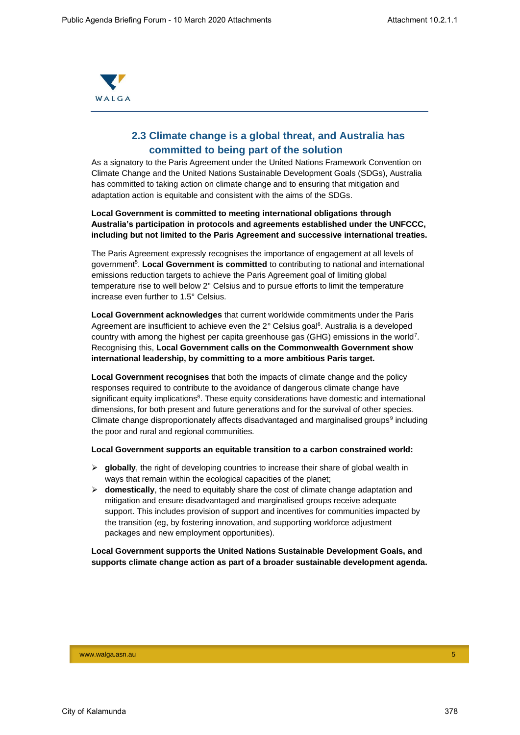

## **2.3 Climate change is a global threat, and Australia has committed to being part of the solution**

As a signatory to the Paris Agreement under the United Nations Framework Convention on Climate Change and the United Nations Sustainable Development Goals (SDGs), Australia has committed to taking action on climate change and to ensuring that mitigation and adaptation action is equitable and consistent with the aims of the SDGs.

**Local Government is committed to meeting international obligations through Australia's participation in protocols and agreements established under the UNFCCC, including but not limited to the Paris Agreement and successive international treaties.**

The Paris Agreement expressly recognises the importance of engagement at all levels of government<sup>5</sup>. Local Government is committed to contributing to national and international emissions reduction targets to achieve the Paris Agreement goal of limiting global temperature rise to well below 2° Celsius and to pursue efforts to limit the temperature increase even further to 1.5° Celsius.

**Local Government acknowledges** that current worldwide commitments under the Paris Agreement are insufficient to achieve even the 2° Celsius goal<sup>6</sup>. Australia is a developed country with among the highest per capita greenhouse gas (GHG) emissions in the world<sup>7</sup>. Recognising this, **Local Government calls on the Commonwealth Government show international leadership, by committing to a more ambitious Paris target.**

**Local Government recognises** that both the impacts of climate change and the policy responses required to contribute to the avoidance of dangerous climate change have significant equity implications<sup>8</sup>. These equity considerations have domestic and international dimensions, for both present and future generations and for the survival of other species. Climate change disproportionately affects disadvantaged and marginalised groups<sup>9</sup> including the poor and rural and regional communities.

#### **Local Government supports an equitable transition to a carbon constrained world:**

- $\triangleright$  **globally**, the right of developing countries to increase their share of global wealth in ways that remain within the ecological capacities of the planet;
- **►** domestically, the need to equitably share the cost of climate change adaptation and mitigation and ensure disadvantaged and marginalised groups receive adequate support. This includes provision of support and incentives for communities impacted by the transition (eg, by fostering innovation, and supporting workforce adjustment packages and new employment opportunities).

#### **Local Government supports the United Nations Sustainable Development Goals, and supports climate change action as part of a broader sustainable development agenda.**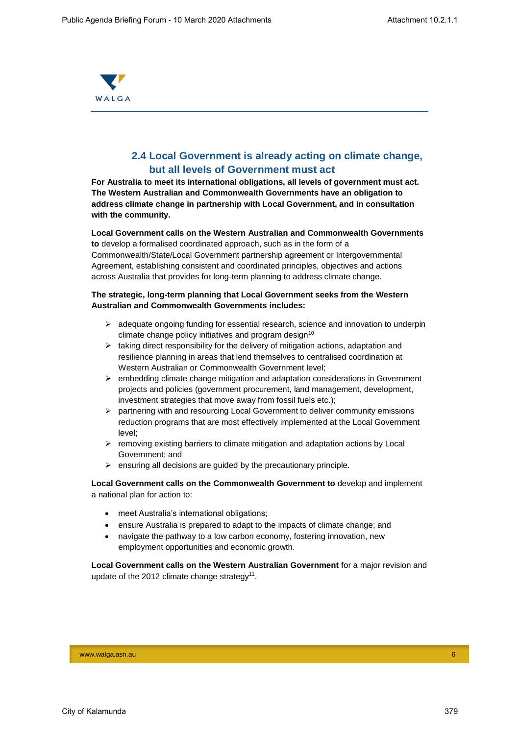

## **2.4 Local Government is already acting on climate change, but all levels of Government must act**

**For Australia to meet its international obligations, all levels of government must act. The Western Australian and Commonwealth Governments have an obligation to address climate change in partnership with Local Government, and in consultation with the community.**

**Local Government calls on the Western Australian and Commonwealth Governments to** develop a formalised coordinated approach, such as in the form of a Commonwealth/State/Local Government partnership agreement or Intergovernmental Agreement, establishing consistent and coordinated principles, objectives and actions across Australia that provides for long-term planning to address climate change.

#### **The strategic, long-term planning that Local Government seeks from the Western Australian and Commonwealth Governments includes:**

- $\triangleright$  adequate ongoing funding for essential research, science and innovation to underpin climate change policy initiatives and program design $10$
- $\triangleright$  taking direct responsibility for the delivery of mitigation actions, adaptation and resilience planning in areas that lend themselves to centralised coordination at Western Australian or Commonwealth Government level;
- $\triangleright$  embedding climate change mitigation and adaptation considerations in Government projects and policies (government procurement, land management, development, investment strategies that move away from fossil fuels etc.);
- $\triangleright$  partnering with and resourcing Local Government to deliver community emissions reduction programs that are most effectively implemented at the Local Government level;
- $\triangleright$  removing existing barriers to climate mitigation and adaptation actions by Local Government; and
- $\triangleright$  ensuring all decisions are guided by the precautionary principle.

**Local Government calls on the Commonwealth Government to** develop and implement a national plan for action to:

- meet Australia's international obligations;
- ensure Australia is prepared to adapt to the impacts of climate change; and
- navigate the pathway to a low carbon economy, fostering innovation, new employment opportunities and economic growth.

**Local Government calls on the Western Australian Government** for a major revision and update of the 2012 climate change strategy<sup>11</sup>.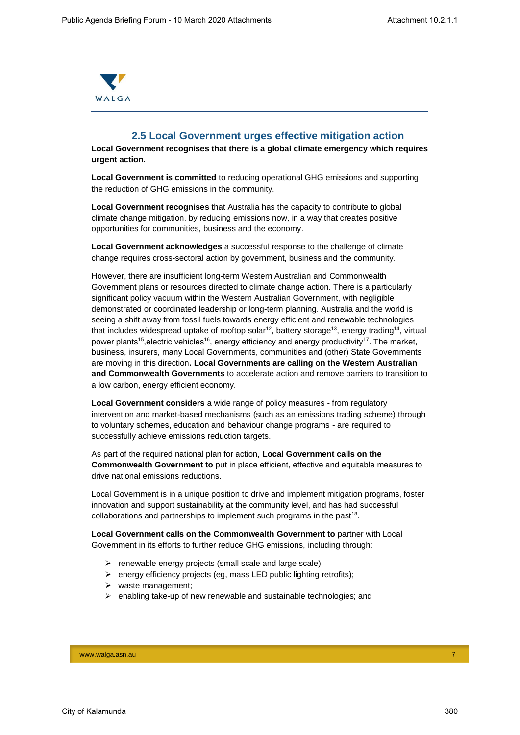

#### **2.5 Local Government urges effective mitigation action**

**Local Government recognises that there is a global climate emergency which requires urgent action.** 

**Local Government is committed** to reducing operational GHG emissions and supporting the reduction of GHG emissions in the community.

**Local Government recognises** that Australia has the capacity to contribute to global climate change mitigation, by reducing emissions now, in a way that creates positive opportunities for communities, business and the economy.

**Local Government acknowledges** a successful response to the challenge of climate change requires cross-sectoral action by government, business and the community.

However, there are insufficient long-term Western Australian and Commonwealth Government plans or resources directed to climate change action. There is a particularly significant policy vacuum within the Western Australian Government, with negligible demonstrated or coordinated leadership or long-term planning. Australia and the world is seeing a shift away from fossil fuels towards energy efficient and renewable technologies that includes widespread uptake of rooftop solar<sup>12</sup>, battery storage<sup>13</sup>, energy trading<sup>14</sup>, virtual power plants<sup>15</sup>, electric vehicles<sup>16</sup>, energy efficiency and energy productivity<sup>17</sup>. The market, business, insurers, many Local Governments, communities and (other) State Governments are moving in this direction**. Local Governments are calling on the Western Australian and Commonwealth Governments** to accelerate action and remove barriers to transition to a low carbon, energy efficient economy.

**Local Government considers** a wide range of policy measures - from regulatory intervention and market-based mechanisms (such as an emissions trading scheme) through to voluntary schemes, education and behaviour change programs - are required to successfully achieve emissions reduction targets.

As part of the required national plan for action, **Local Government calls on the Commonwealth Government to** put in place efficient, effective and equitable measures to drive national emissions reductions.

Local Government is in a unique position to drive and implement mitigation programs, foster innovation and support sustainability at the community level, and has had successful collaborations and partnerships to implement such programs in the past<sup>18</sup>.

**Local Government calls on the Commonwealth Government to** partner with Local Government in its efforts to further reduce GHG emissions, including through:

- $\triangleright$  renewable energy projects (small scale and large scale);
- $\triangleright$  energy efficiency projects (eg, mass LED public lighting retrofits);
- $\triangleright$  waste management;
- $\triangleright$  enabling take-up of new renewable and sustainable technologies; and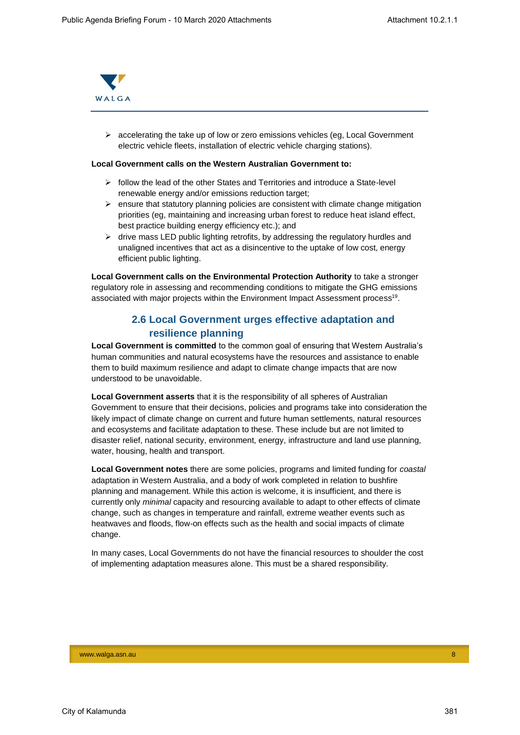

 $\triangleright$  accelerating the take up of low or zero emissions vehicles (eg, Local Government electric vehicle fleets, installation of electric vehicle charging stations).

#### **Local Government calls on the Western Australian Government to:**

- $\geq$  follow the lead of the other States and Territories and introduce a State-level renewable energy and/or emissions reduction target;
- $\triangleright$  ensure that statutory planning policies are consistent with climate change mitigation priorities (eg, maintaining and increasing urban forest to reduce heat island effect, best practice building energy efficiency etc.); and
- $\triangleright$  drive mass LED public lighting retrofits, by addressing the regulatory hurdles and unaligned incentives that act as a disincentive to the uptake of low cost, energy efficient public lighting.

**Local Government calls on the Environmental Protection Authority** to take a stronger regulatory role in assessing and recommending conditions to mitigate the GHG emissions associated with major projects within the Environment Impact Assessment process<sup>19</sup>.

### **2.6 Local Government urges effective adaptation and resilience planning**

**Local Government is committed** to the common goal of ensuring that Western Australia's human communities and natural ecosystems have the resources and assistance to enable them to build maximum resilience and adapt to climate change impacts that are now understood to be unavoidable.

**Local Government asserts** that it is the responsibility of all spheres of Australian Government to ensure that their decisions, policies and programs take into consideration the likely impact of climate change on current and future human settlements, natural resources and ecosystems and facilitate adaptation to these. These include but are not limited to disaster relief, national security, environment, energy, infrastructure and land use planning, water, housing, health and transport.

**Local Government notes** there are some policies, programs and limited funding for *coastal* adaptation in Western Australia, and a body of work completed in relation to bushfire planning and management. While this action is welcome, it is insufficient, and there is currently only *minimal* capacity and resourcing available to adapt to other effects of climate change, such as changes in temperature and rainfall, extreme weather events such as heatwaves and floods, flow-on effects such as the health and social impacts of climate change.

In many cases, Local Governments do not have the financial resources to shoulder the cost of implementing adaptation measures alone. This must be a shared responsibility.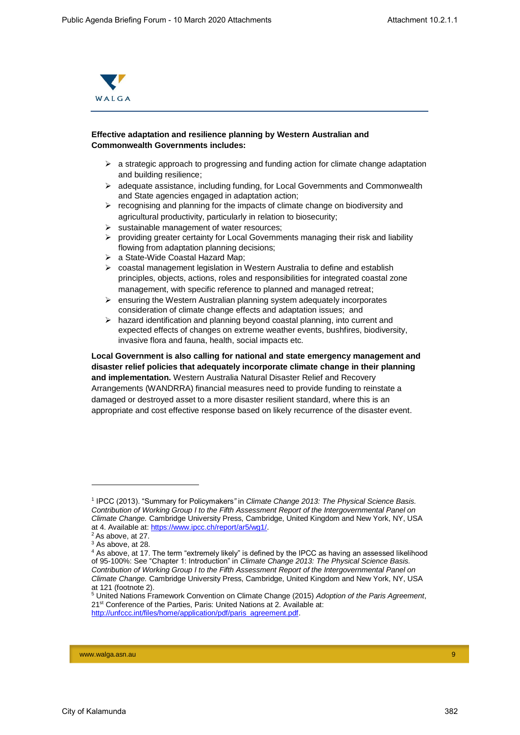

#### **Effective adaptation and resilience planning by Western Australian and Commonwealth Governments includes:**

- $\triangleright$  a strategic approach to progressing and funding action for climate change adaptation and building resilience;
- adequate assistance, including funding, for Local Governments and Commonwealth and State agencies engaged in adaptation action;
- $\triangleright$  recognising and planning for the impacts of climate change on biodiversity and agricultural productivity, particularly in relation to biosecurity;
- $\triangleright$  sustainable management of water resources;
- $\triangleright$  providing greater certainty for Local Governments managing their risk and liability flowing from adaptation planning decisions;
- a State-Wide Coastal Hazard Map;
- coastal management legislation in Western Australia to define and establish principles, objects, actions, roles and responsibilities for integrated coastal zone management, with specific reference to planned and managed retreat;
- $\triangleright$  ensuring the Western Australian planning system adequately incorporates consideration of climate change effects and adaptation issues; and
- $\triangleright$  hazard identification and planning beyond coastal planning, into current and expected effects of changes on extreme weather events, bushfires, biodiversity, invasive flora and fauna, health, social impacts etc.

**Local Government is also calling for national and state emergency management and disaster relief policies that adequately incorporate climate change in their planning and implementation.** Western Australia Natural Disaster Relief and Recovery Arrangements (WANDRRA) financial measures need to provide funding to reinstate a damaged or destroyed asset to a more disaster resilient standard, where this is an appropriate and cost effective response based on likely recurrence of the disaster event.

i,

<sup>1</sup> IPCC (2013). "Summary for Policymakers*"* in *Climate Change 2013: The Physical Science Basis. Contribution of Working Group I to the Fifth Assessment Report of the Intergovernmental Panel on Climate Change.* Cambridge University Press, Cambridge, United Kingdom and New York, NY, USA at 4. Available at: [https://www.ipcc.ch/report/ar5/wg1/.](https://www.ipcc.ch/report/ar5/wg1/)

 $<sup>2</sup>$  As above, at 27.</sup>

<sup>&</sup>lt;sup>3</sup> As above, at 28.

<sup>4</sup> As above, at 17. The term "extremely likely" is defined by the IPCC as having an assessed likelihood of 95-100%: See "Chapter 1: Introduction" in *Climate Change 2013: The Physical Science Basis. Contribution of Working Group I to the Fifth Assessment Report of the Intergovernmental Panel on Climate Change.* Cambridge University Press, Cambridge, United Kingdom and New York, NY, USA at 121 (footnote 2).

<sup>5</sup> United Nations Framework Convention on Climate Change (2015) *Adoption of the Paris Agreement*, 21<sup>st</sup> Conference of the Parties, Paris: United Nations at 2. Available at: [http://unfccc.int/files/home/application/pdf/paris\\_agreement.pdf.](http://unfccc.int/files/home/application/pdf/paris_agreement.pdf)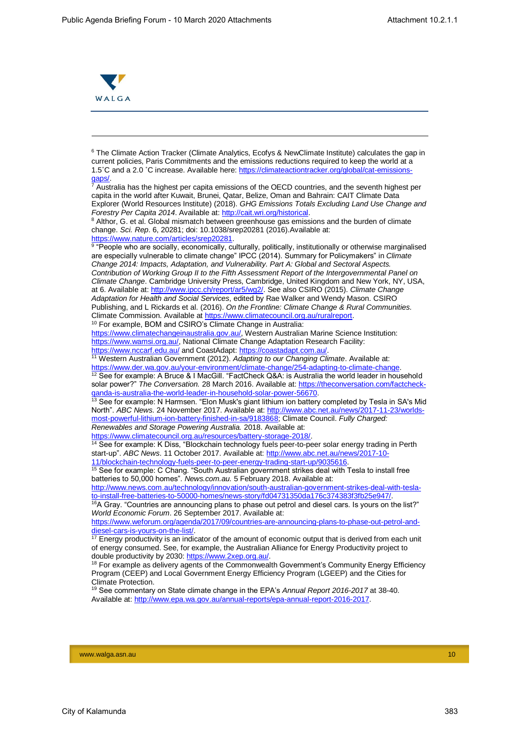

 $\overline{a}$ 

<sup>6</sup> The Climate Action Tracker (Climate Analytics, Ecofys & NewClimate Institute) calculates the gap in current policies, Paris Commitments and the emissions reductions required to keep the world at a 1.5℃ and a 2.0 ℃ increase. Available here: [https://climateactiontracker.org/global/cat-emissions](https://climateactiontracker.org/global/cat-emissions-gaps/)[gaps/.](https://climateactiontracker.org/global/cat-emissions-gaps/)

7 Australia has the highest per capita emissions of the OECD countries, and the seventh highest per capita in the world after Kuwait, Brunei, Qatar, Belize, Oman and Bahrain: CAIT Climate Data Explorer (World Resources Institute) (2018). *GHG Emissions Totals Excluding Land Use Change and Forestry Per Capita 2014*. Available at: [http://cait.wri.org/historical.](http://cait.wri.org/historical)

<sup>8</sup> Althor, G. et al. Global mismatch between greenhouse gas emissions and the burden of climate change. *Sci. Rep*. 6, 20281; doi: 10.1038/srep20281 (2016).Available at: [https://www.nature.com/articles/srep20281.](https://www.nature.com/articles/srep20281)

<sup>9</sup> "People who are socially, economically, culturally, politically, institutionally or otherwise marginalised are especially vulnerable to climate change" IPCC (2014). Summary for Policymakers" in *Climate Change 2014: Impacts, Adaptation, and Vulnerability. Part A: Global and Sectoral Aspects. Contribution of Working Group II to the Fifth Assessment Report of the Intergovernmental Panel on Climate Change*. Cambridge University Press, Cambridge, United Kingdom and New York, NY, USA, at 6. Available at: [http://www.ipcc.ch/report/ar5/wg2/.](http://www.ipcc.ch/report/ar5/wg2/) See also CSIRO (2015). *Climate Change Adaptation for Health and Social Services*, edited by Rae Walker and Wendy Mason. CSIRO Publishing, and L Rickards et al. (2016). *On the Frontline: Climate Change & Rural Communities.* 

Climate Commission. Available at https://www.climatecouncil.org.au/ruralreport

<sup>10</sup> For example, BOM and CSIRO's Climate Change in Australia: [https://www.climatechangeinaustralia.gov.au/,](https://www.climatechangeinaustralia.gov.au/) Western Australian Marine Science Institution:

[https://www.wamsi.org.au/,](https://www.wamsi.org.au/) National Climate Change Adaptation Research Facility:

<https://www.nccarf.edu.au/> and CoastAdapt: [https://coastadapt.com.au/.](https://coastadapt.com.au/)

<sup>11</sup> Western Australian Government (2012). *Adapting to our Changing Climate*. Available at: [https://www.der.wa.gov.au/your-environment/climate-change/254-adapting-to-climate-change.](https://www.der.wa.gov.au/your-environment/climate-change/254-adapting-to-climate-change)

<sup>12</sup> See for example: A Bruce & I MacGill. "FactCheck Q&A: is Australia the world leader in household solar power?" The Conversation. 28 March 2016. Available at: [https://theconversation.com/factcheck](https://theconversation.com/factcheck-qanda-is-australia-the-world-leader-in-household-solar-power-56670)[qanda-is-australia-the-world-leader-in-household-solar-power-56670.](https://theconversation.com/factcheck-qanda-is-australia-the-world-leader-in-household-solar-power-56670)

<sup>13</sup> See for example: N Harmsen. "Elon Musk's giant lithium ion battery completed by Tesla in SA's Mid North". *ABC News.* 24 November 2017. Available at: [http://www.abc.net.au/news/2017-11-23/worlds](http://www.abc.net.au/news/2017-11-23/worlds-most-powerful-lithium-ion-battery-finished-in-sa/9183868)[most-powerful-lithium-ion-battery-finished-in-sa/9183868;](http://www.abc.net.au/news/2017-11-23/worlds-most-powerful-lithium-ion-battery-finished-in-sa/9183868) Climate Council. *Fully Charged: Renewables and Storage Powering Australia.* 2018. Available at:

[https://www.climatecouncil.org.au/resources/battery-storage-2018/.](https://www.climatecouncil.org.au/resources/battery-storage-2018/)

<sup>14</sup> See for example: K Diss, "Blockchain technology fuels peer-to-peer solar energy trading in Perth start-up". *ABC News*. 11 October 2017. Available at: [http://www.abc.net.au/news/2017-10-](http://www.abc.net.au/news/2017-10-11/blockchain-technology-fuels-peer-to-peer-energy-trading-start-up/9035616) [11/blockchain-technology-fuels-peer-to-peer-energy-trading-start-up/9035616.](http://www.abc.net.au/news/2017-10-11/blockchain-technology-fuels-peer-to-peer-energy-trading-start-up/9035616)

<sup>15</sup> See for example: C Chang. "South Australian government strikes deal with Tesla to install free batteries to 50,000 homes". *News.com.au.* 5 February 2018. Available at:

[http://www.news.com.au/technology/innovation/south-australian-government-strikes-deal-with-tesla](http://www.news.com.au/technology/innovation/south-australian-government-strikes-deal-with-tesla-to-install-free-batteries-to-50000-homes/news-story/fd04731350da176c374383f3fb25e947/)[to-install-free-batteries-to-50000-homes/news-story/fd04731350da176c374383f3fb25e947/.](http://www.news.com.au/technology/innovation/south-australian-government-strikes-deal-with-tesla-to-install-free-batteries-to-50000-homes/news-story/fd04731350da176c374383f3fb25e947/)

 $16A$  Gray. "Countries are announcing plans to phase out petrol and diesel cars. Is yours on the list?" *World Economic Forum*. 26 September 2017. Available at:

[https://www.weforum.org/agenda/2017/09/countries-are-announcing-plans-to-phase-out-petrol-and](https://www.weforum.org/agenda/2017/09/countries-are-announcing-plans-to-phase-out-petrol-and-diesel-cars-is-yours-on-the-list/)[diesel-cars-is-yours-on-the-list/.](https://www.weforum.org/agenda/2017/09/countries-are-announcing-plans-to-phase-out-petrol-and-diesel-cars-is-yours-on-the-list/)

 $17$  Energy productivity is an indicator of the amount of economic output that is derived from each unit of energy consumed. See, for example, the Australian Alliance for Energy Productivity project to double productivity by 2030: [https://www.2xep.org.au/.](https://www.2xep.org.au/)

<sup>18</sup> For example as delivery agents of the Commonwealth Government's Community Energy Efficiency Program (CEEP) and Local Government Energy Efficiency Program (LGEEP) and the Cities for Climate Protection.

<sup>19</sup> See commentary on State climate change in the EPA's *Annual Report 2016-2017* at 38-40. Available at: [http://www.epa.wa.gov.au/annual-reports/epa-annual-report-2016-2017.](http://www.epa.wa.gov.au/annual-reports/epa-annual-report-2016-2017)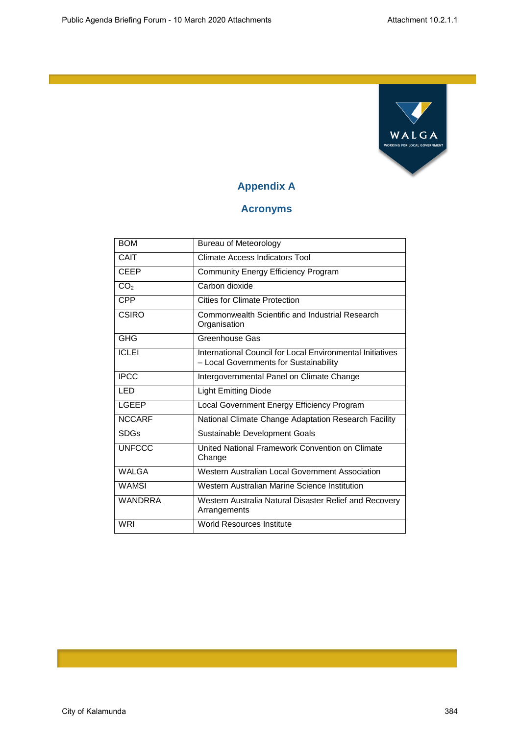

## **Appendix A**

## **Acronyms**

| <b>BOM</b>      | <b>Bureau of Meteorology</b>                                                                        |
|-----------------|-----------------------------------------------------------------------------------------------------|
| CAIT            | Climate Access Indicators Tool                                                                      |
| <b>CEEP</b>     | Community Energy Efficiency Program                                                                 |
| CO <sub>2</sub> | Carbon dioxide                                                                                      |
| CPP             | Cities for Climate Protection                                                                       |
| CSIRO           | Commonwealth Scientific and Industrial Research<br>Organisation                                     |
| <b>GHG</b>      | Greenhouse Gas                                                                                      |
| <b>ICLEI</b>    | International Council for Local Environmental Initiatives<br>- Local Governments for Sustainability |
| <b>IPCC</b>     | Intergovernmental Panel on Climate Change                                                           |
| LED             | <b>Light Emitting Diode</b>                                                                         |
| <b>LGEEP</b>    | Local Government Energy Efficiency Program                                                          |
| <b>NCCARF</b>   | National Climate Change Adaptation Research Facility                                                |
| <b>SDGs</b>     | Sustainable Development Goals                                                                       |
| <b>UNFCCC</b>   | United National Framework Convention on Climate<br>Change                                           |
| <b>WALGA</b>    | Western Australian Local Government Association                                                     |
| <b>WAMSI</b>    | Western Australian Marine Science Institution                                                       |
| <b>WANDRRA</b>  | Western Australia Natural Disaster Relief and Recovery<br>Arrangements                              |
| <b>WRI</b>      | <b>World Resources Institute</b>                                                                    |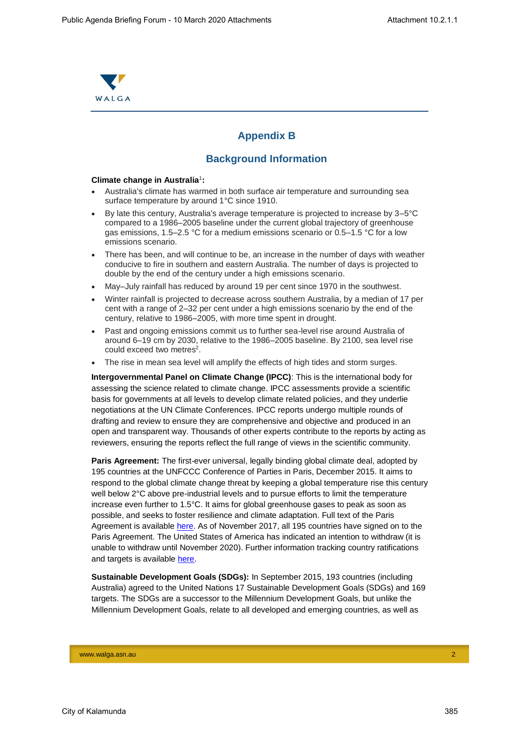

## **Appendix B**

#### **Background Information**

#### **Climate change in Australia**<sup>1</sup> **:**

- Australia's climate has warmed in both surface air temperature and surrounding sea surface temperature by around 1°C since 1910.
- By late this century, Australia's average temperature is projected to increase by 3–5°C compared to a 1986–2005 baseline under the current global trajectory of greenhouse gas emissions, 1.5–2.5 °C for a medium emissions scenario or 0.5–1.5 °C for a low emissions scenario.
- There has been, and will continue to be, an increase in the number of days with weather conducive to fire in southern and eastern Australia. The number of days is projected to double by the end of the century under a high emissions scenario.
- May–July rainfall has reduced by around 19 per cent since 1970 in the southwest.
- Winter rainfall is projected to decrease across southern Australia, by a median of 17 per cent with a range of 2–32 per cent under a high emissions scenario by the end of the century, relative to 1986–2005, with more time spent in drought.
- Past and ongoing emissions commit us to further sea-level rise around Australia of around 6–19 cm by 2030, relative to the 1986–2005 baseline. By 2100, sea level rise could exceed two metres<sup>2</sup>.
- The rise in mean sea level will amplify the effects of high tides and storm surges.

**Intergovernmental Panel on Climate Change (IPCC)**: This is the international body for assessing the science related to climate change. IPCC assessments provide a scientific basis for governments at all levels to develop climate related policies, and they underlie negotiations at the UN Climate Conferences. IPCC reports undergo multiple rounds of drafting and review to ensure they are comprehensive and objective and produced in an open and transparent way. Thousands of other experts contribute to the reports by acting as reviewers, ensuring the reports reflect the full range of views in the scientific community.

**Paris Agreement:** The first-ever universal, legally binding global climate deal, adopted by 195 countries at the UNFCCC Conference of Parties in Paris, December 2015. It aims to respond to the global climate change threat by keeping a global temperature rise this century well below 2°C above pre-industrial levels and to pursue efforts to limit the temperature increase even further to 1.5°C. It aims for global greenhouse gases to peak as soon as possible, and seeks to foster resilience and climate adaptation. Full text of the Paris Agreement is available [here.](http://unfccc.int/files/home/application/pdf/paris_agreement.pdf) As of November 2017, all 195 countries have signed on to the Paris Agreement. The United States of America has indicated an intention to withdraw (it is unable to withdraw until November 2020). Further information tracking country ratifications and targets is available [here.](http://cait.wri.org/indc/)

**Sustainable Development Goals (SDGs):** In September 2015, 193 countries (including Australia) agreed to the United Nations 17 Sustainable Development Goals (SDGs) and 169 targets. The SDGs are a successor to the Millennium Development Goals, but unlike the Millennium Development Goals, relate to all developed and emerging countries, as well as

www.walga.asn.au 2007 - 2008 - 2008 - 2008 - 2008 - 2008 - 2008 - 2008 - 2008 - 2008 - 2008 - 2008 - 2008 - 20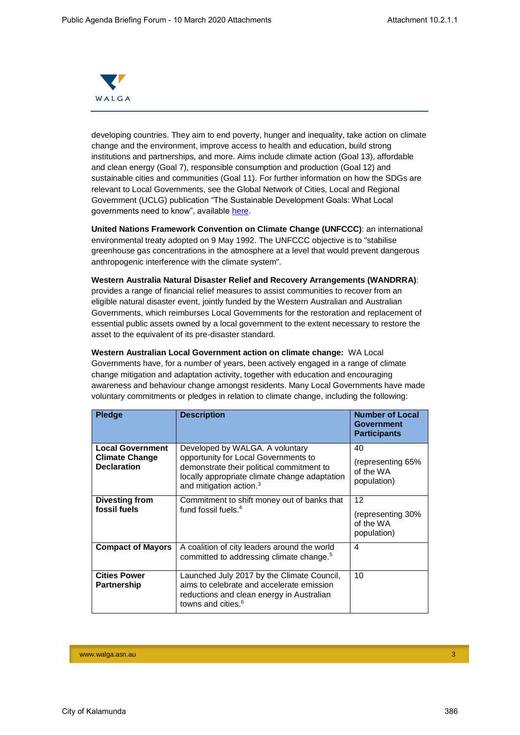

developing countries. They aim to end poverty, hunger and inequality, take action on climate change and the environment, improve access to health and education, build strong institutions and partnerships, and more. Aims include climate action (Goal 13), affordable and clean energy (Goal 7), responsible consumption and production (Goal 12) and sustainable cities and communities (Goal 11). For further information on how the SDGs are relevant to Local Governments, see the Global Network of Cities, Local and Regional Government (UCLG) publication "The Sustainable Development Goals: What Local governments need to know", available [here.](https://www.uclg.org/en/media/news/sustainable-development-goals-what-local-governments-need-know)

**United Nations Framework Convention on Climate Change (UNFCCC)**: an international environmental treaty adopted on 9 May 1992. The UNFCCC objective is to "stabilise greenhouse gas concentrations in the atmosphere at a level that would prevent dangerous anthropogenic interference with the climate system".

**Western Australia Natural Disaster Relief and Recovery Arrangements (WANDRRA)**: provides a range of financial relief measures to assist communities to recover from an eligible natural disaster event, jointly funded by the Western Australian and Australian Governments, which reimburses Local Governments for the restoration and replacement of essential public assets owned by a local government to the extent necessary to restore the asset to the equivalent of its pre-disaster standard.

**Western Australian Local Government action on climate change:** WA Local Governments have, for a number of years, been actively engaged in a range of climate change mitigation and adaptation activity, together with education and encouraging awareness and behaviour change amongst residents. Many Local Governments have made voluntary commitments or pledges in relation to climate change, including the following:

| <b>Pledge</b>                                                          | <b>Description</b>                                                                                                                                                                                           | <b>Number of Local</b><br>Government<br><b>Participants</b> |
|------------------------------------------------------------------------|--------------------------------------------------------------------------------------------------------------------------------------------------------------------------------------------------------------|-------------------------------------------------------------|
| <b>Local Government</b><br><b>Climate Change</b><br><b>Declaration</b> | Developed by WALGA. A voluntary<br>opportunity for Local Governments to<br>demonstrate their political commitment to<br>locally appropriate climate change adaptation<br>and mitigation action. <sup>3</sup> | 40<br>(representing 65%)<br>of the WA<br>population)        |
| <b>Divesting from</b><br>fossil fuels                                  | Commitment to shift money out of banks that<br>fund fossil fuels. <sup>4</sup>                                                                                                                               | 12<br>(representing 30%<br>of the WA<br>population)         |
| <b>Compact of Mayors</b>                                               | A coalition of city leaders around the world<br>committed to addressing climate change. <sup>5</sup>                                                                                                         | 4                                                           |
| <b>Cities Power</b><br>Partnership                                     | Launched July 2017 by the Climate Council,<br>aims to celebrate and accelerate emission<br>reductions and clean energy in Australian<br>towns and cities. <sup>6</sup>                                       | 10                                                          |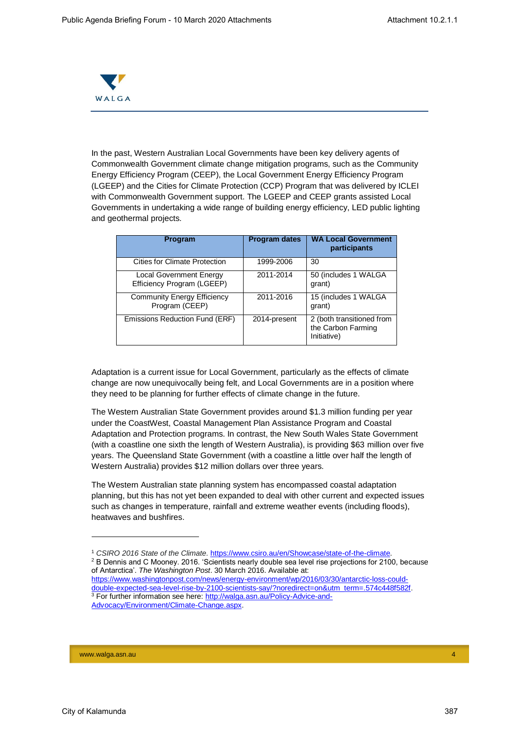

In the past, Western Australian Local Governments have been key delivery agents of Commonwealth Government climate change mitigation programs, such as the Community Energy Efficiency Program (CEEP), the Local Government Energy Efficiency Program (LGEEP) and the Cities for Climate Protection (CCP) Program that was delivered by ICLEI with Commonwealth Government support. The LGEEP and CEEP grants assisted Local Governments in undertaking a wide range of building energy efficiency, LED public lighting and geothermal projects.

| <b>Program</b>                                               | <b>Program dates</b> | <b>WA Local Government</b><br>participants                     |
|--------------------------------------------------------------|----------------------|----------------------------------------------------------------|
| <b>Cities for Climate Protection</b>                         | 1999-2006            | 30                                                             |
| <b>Local Government Energy</b><br>Efficiency Program (LGEEP) | 2011-2014            | 50 (includes 1 WALGA)<br>grant)                                |
| <b>Community Energy Efficiency</b><br>Program (CEEP)         | 2011-2016            | 15 (includes 1 WALGA<br>grant)                                 |
| Emissions Reduction Fund (ERF)                               | 2014-present         | 2 (both transitioned from<br>the Carbon Farming<br>Initiative) |

Adaptation is a current issue for Local Government, particularly as the effects of climate change are now unequivocally being felt, and Local Governments are in a position where they need to be planning for further effects of climate change in the future.

The Western Australian State Government provides around \$1.3 million funding per year under the CoastWest, Coastal Management Plan Assistance Program and Coastal Adaptation and Protection programs. In contrast, the New South Wales State Government (with a coastline one sixth the length of Western Australia), is providing \$63 million over five years. The Queensland State Government (with a coastline a little over half the length of Western Australia) provides \$12 million dollars over three years.

The Western Australian state planning system has encompassed coastal adaptation planning, but this has not yet been expanded to deal with other current and expected issues such as changes in temperature, rainfall and extreme weather events (including floods), heatwaves and bushfires.

www.walga.asn.au 4

City of Kalamunda 387

i,

<sup>1</sup> *CSIRO 2016 State of the Climate.* [https://www.csiro.au/en/Showcase/state-of-the-climate.](https://www.csiro.au/en/Showcase/state-of-the-climate) <sup>2</sup> B Dennis and C Mooney. 2016. 'Scientists nearly double sea level rise projections for 2100, because of Antarctica'. *The Washington Post*. 30 March 2016. Available at:

[https://www.washingtonpost.com/news/energy-environment/wp/2016/03/30/antarctic-loss-could](https://www.washingtonpost.com/news/energy-environment/wp/2016/03/30/antarctic-loss-could-double-expected-sea-level-rise-by-2100-scientists-say/?noredirect=on&utm_term=.574c448f582f)[double-expected-sea-level-rise-by-2100-scientists-say/?noredirect=on&utm\\_term=.574c448f582f.](https://www.washingtonpost.com/news/energy-environment/wp/2016/03/30/antarctic-loss-could-double-expected-sea-level-rise-by-2100-scientists-say/?noredirect=on&utm_term=.574c448f582f) <sup>3</sup> For further information see here: [http://walga.asn.au/Policy-Advice-and-](http://walga.asn.au/Policy-Advice-and-Advocacy/Environment/Climate-Change.aspx)[Advocacy/Environment/Climate-Change.aspx.](http://walga.asn.au/Policy-Advice-and-Advocacy/Environment/Climate-Change.aspx)